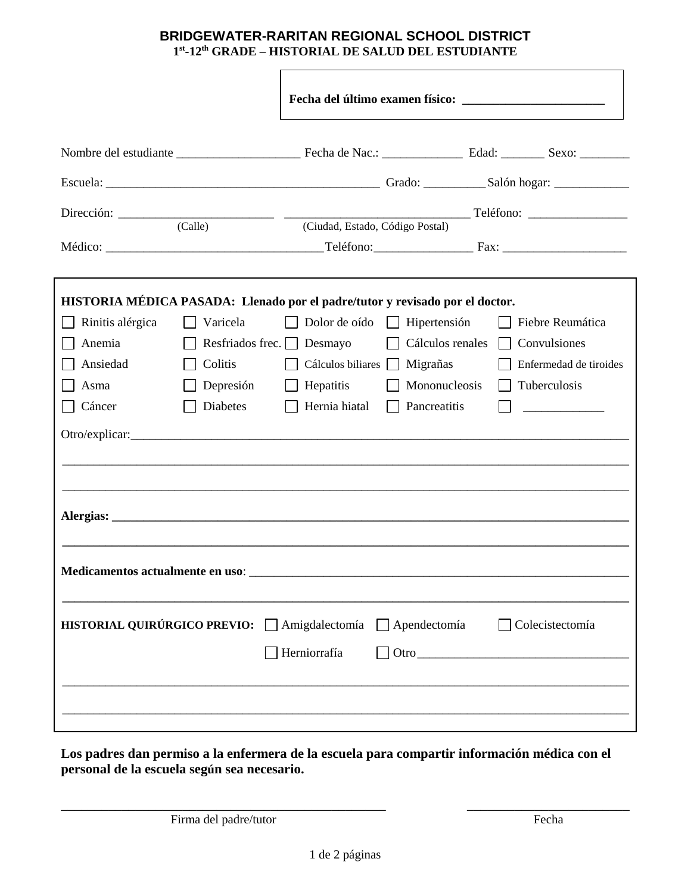## **BRIDGEWATER-RARITAN REGIONAL SCHOOL DISTRICT 1 st -12th GRADE – HISTORIAL DE SALUD DEL ESTUDIANTE**

| Dirección: (Calle) (Ciudad, Estado, Código Postal)                                               |                         |                   | Teléfono:           |                        |  |
|--------------------------------------------------------------------------------------------------|-------------------------|-------------------|---------------------|------------------------|--|
|                                                                                                  |                         |                   |                     |                        |  |
| HISTORIA MÉDICA PASADA: Llenado por el padre/tutor y revisado por el doctor.                     |                         |                   |                     |                        |  |
| Rinitis alérgica                                                                                 | Varicela                | Dolor de oído     | $\Box$ Hipertensión | Fiebre Reumática       |  |
| Anemia                                                                                           | Resfriados frec. $\Box$ | Desmayo           | Cálculos renales    | Convulsiones           |  |
| Ansiedad                                                                                         | Colitis                 | Cálculos biliares | Migrañas            | Enfermedad de tiroides |  |
| Asma                                                                                             | Depresión               | Hepatitis         | Mononucleosis       | Tuberculosis           |  |
| Cáncer                                                                                           | Diabetes                | Hernia hiatal     | Pancreatitis        |                        |  |
| Alergias:                                                                                        |                         |                   |                     |                        |  |
| Medicamentos actualmente en uso:<br>HISTORIAL QUIRÚRGICO PREVIO: △ Amigdalectomía △ Apendectomía |                         |                   |                     | $\Box$ Colecistectomía |  |
|                                                                                                  |                         | Herniorrafía      |                     |                        |  |

**Los padres dan permiso a la enfermera de la escuela para compartir información médica con el personal de la escuela según sea necesario.**

Firma del padre/tutor Fecha

\_\_\_\_\_\_\_\_\_\_\_\_\_\_\_\_\_\_\_\_\_\_\_\_\_\_\_\_\_\_\_\_\_\_\_\_\_\_\_\_\_\_\_\_\_\_\_\_ \_\_\_\_\_\_\_\_\_\_\_\_\_\_\_\_\_\_\_\_\_\_\_\_